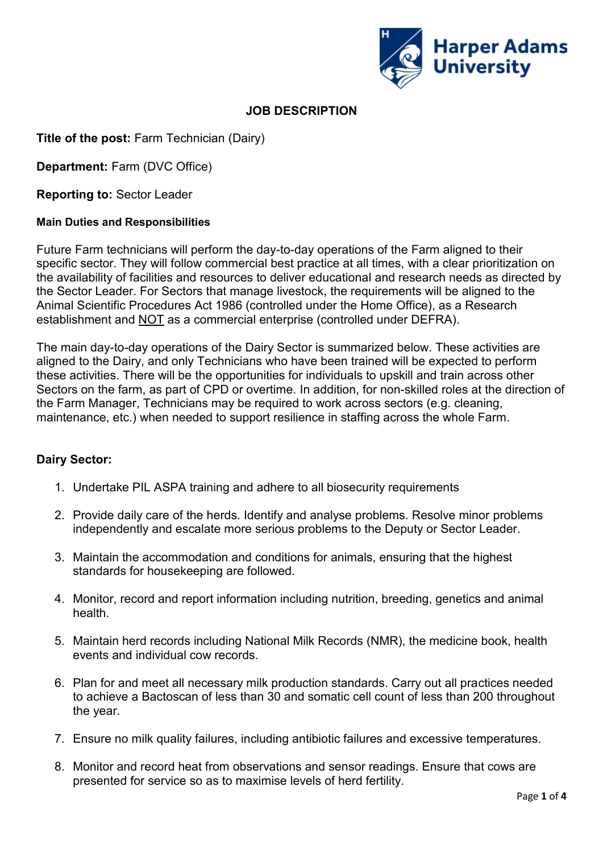

# **JOB DESCRIPTION**

**Title of the post:** Farm Technician (Dairy)

**Department:** Farm (DVC Office)

**Reporting to:** Sector Leader

## **Main Duties and Responsibilities**

Future Farm technicians will perform the day-to-day operations of the Farm aligned to their specific sector. They will follow commercial best practice at all times, with a clear prioritization on the availability of facilities and resources to deliver educational and research needs as directed by the Sector Leader. For Sectors that manage livestock, the requirements will be aligned to the Animal Scientific Procedures Act 1986 (controlled under the Home Office), as a Research establishment and **NOT** as a commercial enterprise (controlled under DEFRA).

The main day-to-day operations of the Dairy Sector is summarized below. These activities are aligned to the Dairy, and only Technicians who have been trained will be expected to perform these activities. There will be the opportunities for individuals to upskill and train across other Sectors on the farm, as part of CPD or overtime. In addition, for non-skilled roles at the direction of the Farm Manager, Technicians may be required to work across sectors (e.g. cleaning, maintenance, etc.) when needed to support resilience in staffing across the whole Farm.

## **Dairy Sector:**

- 1. Undertake PIL ASPA training and adhere to all biosecurity requirements
- 2. Provide daily care of the herds. Identify and analyse problems. Resolve minor problems independently and escalate more serious problems to the Deputy or Sector Leader.
- 3. Maintain the accommodation and conditions for animals, ensuring that the highest standards for housekeeping are followed.
- 4. Monitor, record and report information including nutrition, breeding, genetics and animal health.
- 5. Maintain herd records including National Milk Records (NMR), the medicine book, health events and individual cow records.
- 6. Plan for and meet all necessary milk production standards. Carry out all practices needed to achieve a Bactoscan of less than 30 and somatic cell count of less than 200 throughout the year.
- 7. Ensure no milk quality failures, including antibiotic failures and excessive temperatures.
- 8. Monitor and record heat from observations and sensor readings. Ensure that cows are presented for service so as to maximise levels of herd fertility.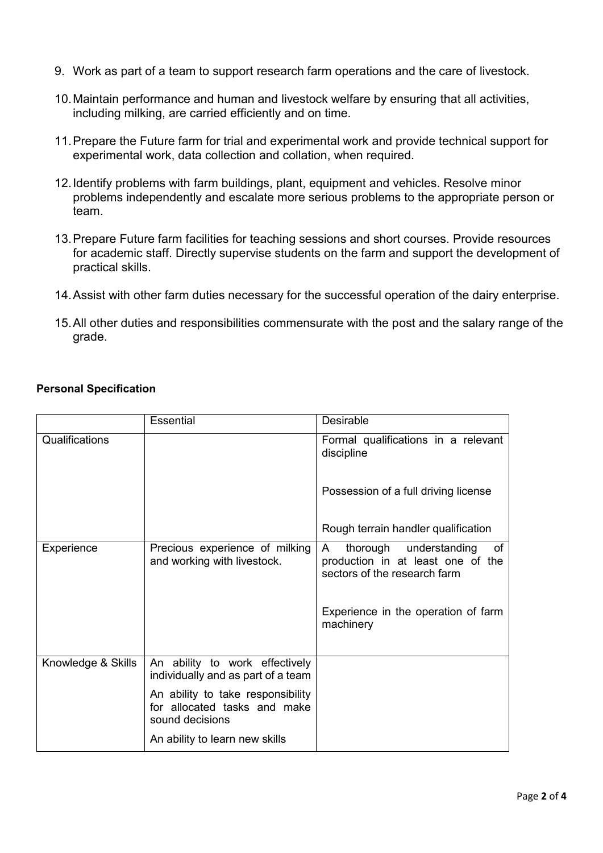- 9. Work as part of a team to support research farm operations and the care of livestock.
- 10.Maintain performance and human and livestock welfare by ensuring that all activities, including milking, are carried efficiently and on time.
- 11.Prepare the Future farm for trial and experimental work and provide technical support for experimental work, data collection and collation, when required.
- 12.Identify problems with farm buildings, plant, equipment and vehicles. Resolve minor problems independently and escalate more serious problems to the appropriate person or team.
- 13.Prepare Future farm facilities for teaching sessions and short courses. Provide resources for academic staff. Directly supervise students on the farm and support the development of practical skills.
- 14.Assist with other farm duties necessary for the successful operation of the dairy enterprise.
- 15.All other duties and responsibilities commensurate with the post and the salary range of the grade.

|                    | <b>Essential</b>                                                                     | <b>Desirable</b>                                                                                                                                           |
|--------------------|--------------------------------------------------------------------------------------|------------------------------------------------------------------------------------------------------------------------------------------------------------|
| Qualifications     |                                                                                      | Formal qualifications in a relevant<br>discipline                                                                                                          |
|                    |                                                                                      | Possession of a full driving license                                                                                                                       |
|                    |                                                                                      | Rough terrain handler qualification                                                                                                                        |
| Experience         | Precious experience of milking<br>and working with livestock.                        | thorough understanding<br>of<br>A<br>production in at least one of the<br>sectors of the research farm<br>Experience in the operation of farm<br>machinery |
| Knowledge & Skills | An ability to work effectively<br>individually and as part of a team                 |                                                                                                                                                            |
|                    | An ability to take responsibility<br>for allocated tasks and make<br>sound decisions |                                                                                                                                                            |
|                    | An ability to learn new skills                                                       |                                                                                                                                                            |

## **Personal Specification**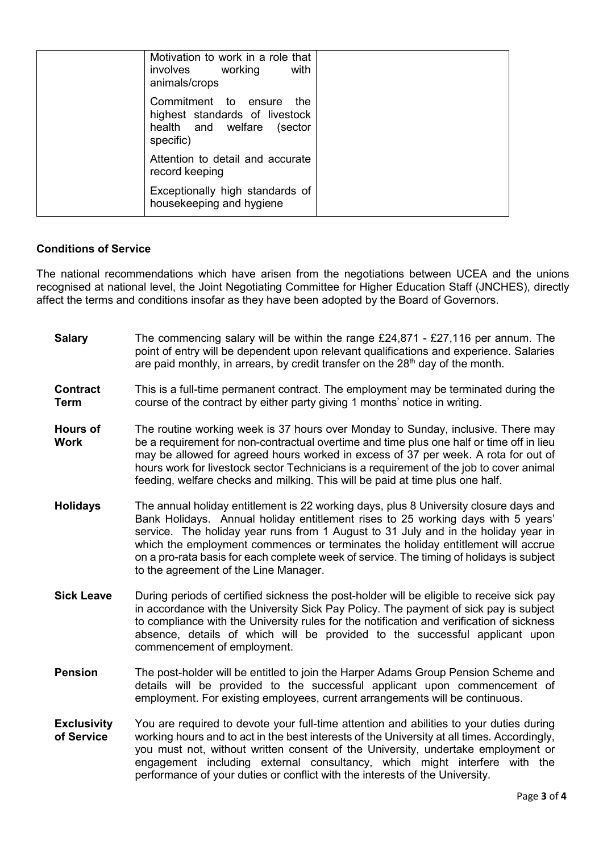|  | Motivation to work in a role that<br>involves working<br>with                                                |  |
|--|--------------------------------------------------------------------------------------------------------------|--|
|  | animals/crops<br>Commitment to ensure<br>the<br>highest standards of livestock<br>health and welfare (sector |  |
|  | specific)                                                                                                    |  |
|  | Attention to detail and accurate<br>record keeping                                                           |  |
|  | Exceptionally high standards of<br>housekeeping and hygiene                                                  |  |

#### **Conditions of Service**

The national recommendations which have arisen from the negotiations between UCEA and the unions recognised at national level, the Joint Negotiating Committee for Higher Education Staff (JNCHES), directly affect the terms and conditions insofar as they have been adopted by the Board of Governors.

| <b>Salary</b>                    | The commencing salary will be within the range £24,871 - £27,116 per annum. The<br>point of entry will be dependent upon relevant qualifications and experience. Salaries<br>are paid monthly, in arrears, by credit transfer on the 28 <sup>th</sup> day of the month.                                                                                                                                                                                                                  |
|----------------------------------|------------------------------------------------------------------------------------------------------------------------------------------------------------------------------------------------------------------------------------------------------------------------------------------------------------------------------------------------------------------------------------------------------------------------------------------------------------------------------------------|
| <b>Contract</b><br><b>Term</b>   | This is a full-time permanent contract. The employment may be terminated during the<br>course of the contract by either party giving 1 months' notice in writing.                                                                                                                                                                                                                                                                                                                        |
| <b>Hours of</b><br><b>Work</b>   | The routine working week is 37 hours over Monday to Sunday, inclusive. There may<br>be a requirement for non-contractual overtime and time plus one half or time off in lieu<br>may be allowed for agreed hours worked in excess of 37 per week. A rota for out of<br>hours work for livestock sector Technicians is a requirement of the job to cover animal<br>feeding, welfare checks and milking. This will be paid at time plus one half.                                           |
| <b>Holidays</b>                  | The annual holiday entitlement is 22 working days, plus 8 University closure days and<br>Bank Holidays. Annual holiday entitlement rises to 25 working days with 5 years'<br>service. The holiday year runs from 1 August to 31 July and in the holiday year in<br>which the employment commences or terminates the holiday entitlement will accrue<br>on a pro-rata basis for each complete week of service. The timing of holidays is subject<br>to the agreement of the Line Manager. |
| <b>Sick Leave</b>                | During periods of certified sickness the post-holder will be eligible to receive sick pay<br>in accordance with the University Sick Pay Policy. The payment of sick pay is subject<br>to compliance with the University rules for the notification and verification of sickness<br>absence, details of which will be provided to the successful applicant upon<br>commencement of employment.                                                                                            |
| <b>Pension</b>                   | The post-holder will be entitled to join the Harper Adams Group Pension Scheme and<br>details will be provided to the successful applicant upon commencement of<br>employment. For existing employees, current arrangements will be continuous.                                                                                                                                                                                                                                          |
| <b>Exclusivity</b><br>of Service | You are required to devote your full-time attention and abilities to your duties during<br>working hours and to act in the best interests of the University at all times. Accordingly,<br>you must not, without written consent of the University, undertake employment or<br>engagement including external consultancy, which might interfere with the<br>performance of your duties or conflict with the interests of the University.                                                  |
|                                  |                                                                                                                                                                                                                                                                                                                                                                                                                                                                                          |